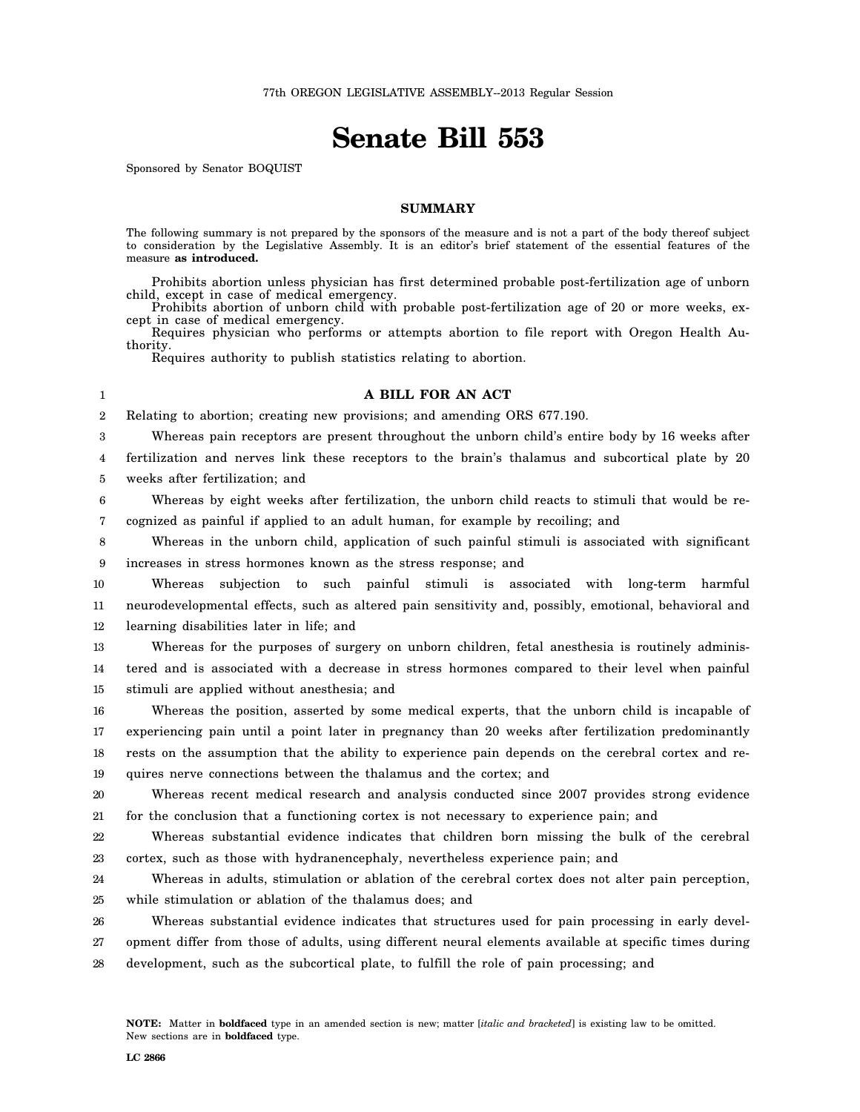# **Senate Bill 553**

Sponsored by Senator BOQUIST

## **SUMMARY**

The following summary is not prepared by the sponsors of the measure and is not a part of the body thereof subject to consideration by the Legislative Assembly. It is an editor's brief statement of the essential features of the measure **as introduced.**

Prohibits abortion unless physician has first determined probable post-fertilization age of unborn child, except in case of medical emergency.

Prohibits abortion of unborn child with probable post-fertilization age of 20 or more weeks, except in case of medical emergency.

Requires physician who performs or attempts abortion to file report with Oregon Health Authority.

Requires authority to publish statistics relating to abortion.

#### 1

## **A BILL FOR AN ACT**

2 Relating to abortion; creating new provisions; and amending ORS 677.190.

3 Whereas pain receptors are present throughout the unborn child's entire body by 16 weeks after

4 5 fertilization and nerves link these receptors to the brain's thalamus and subcortical plate by 20 weeks after fertilization; and

6 7 Whereas by eight weeks after fertilization, the unborn child reacts to stimuli that would be recognized as painful if applied to an adult human, for example by recoiling; and

8 9 Whereas in the unborn child, application of such painful stimuli is associated with significant increases in stress hormones known as the stress response; and

10 11 12 Whereas subjection to such painful stimuli is associated with long-term harmful neurodevelopmental effects, such as altered pain sensitivity and, possibly, emotional, behavioral and learning disabilities later in life; and

13 14 15 Whereas for the purposes of surgery on unborn children, fetal anesthesia is routinely administered and is associated with a decrease in stress hormones compared to their level when painful stimuli are applied without anesthesia; and

16 17 18 19 Whereas the position, asserted by some medical experts, that the unborn child is incapable of experiencing pain until a point later in pregnancy than 20 weeks after fertilization predominantly rests on the assumption that the ability to experience pain depends on the cerebral cortex and requires nerve connections between the thalamus and the cortex; and

20 21 Whereas recent medical research and analysis conducted since 2007 provides strong evidence for the conclusion that a functioning cortex is not necessary to experience pain; and

22 23 Whereas substantial evidence indicates that children born missing the bulk of the cerebral cortex, such as those with hydranencephaly, nevertheless experience pain; and

24 25 Whereas in adults, stimulation or ablation of the cerebral cortex does not alter pain perception, while stimulation or ablation of the thalamus does; and

26 27 28 Whereas substantial evidence indicates that structures used for pain processing in early development differ from those of adults, using different neural elements available at specific times during development, such as the subcortical plate, to fulfill the role of pain processing; and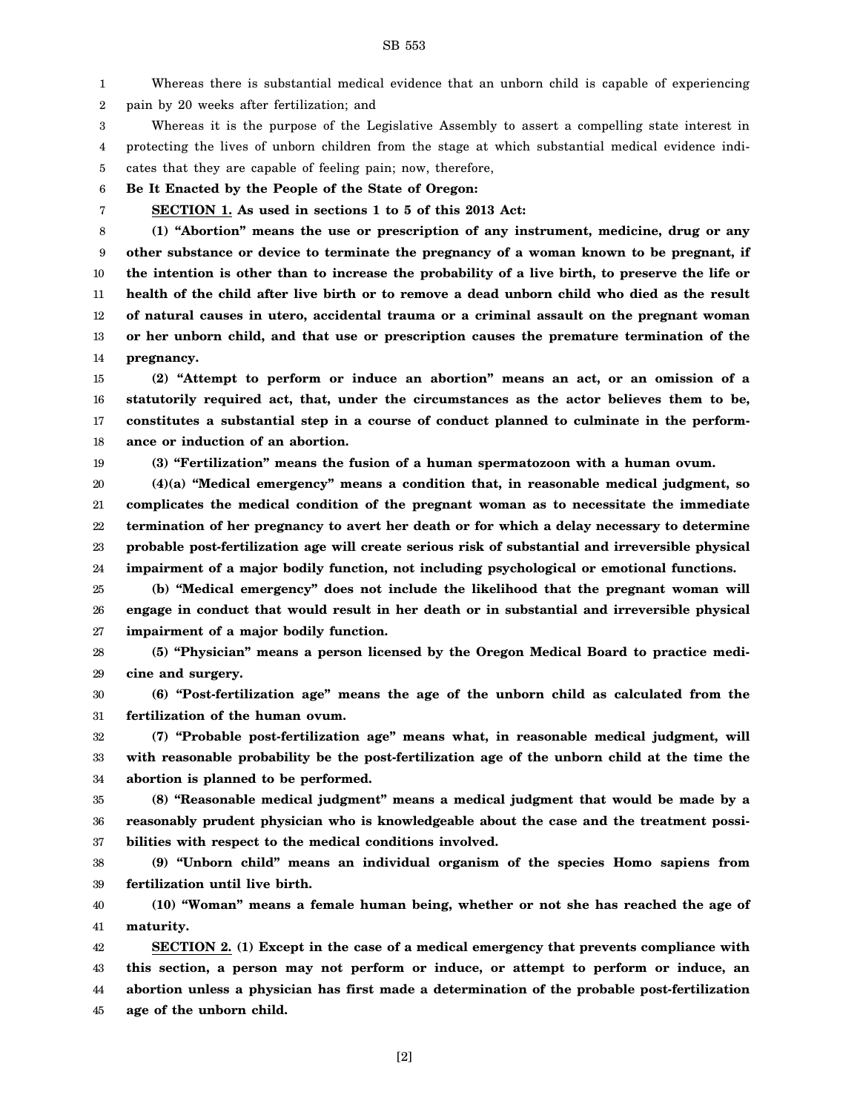1 2 Whereas there is substantial medical evidence that an unborn child is capable of experiencing pain by 20 weeks after fertilization; and

3 4 5 Whereas it is the purpose of the Legislative Assembly to assert a compelling state interest in protecting the lives of unborn children from the stage at which substantial medical evidence indicates that they are capable of feeling pain; now, therefore,

6 **Be It Enacted by the People of the State of Oregon:**

7

**SECTION 1. As used in sections 1 to 5 of this 2013 Act:**

8 9 10 11 12 13 14 **(1) "Abortion" means the use or prescription of any instrument, medicine, drug or any other substance or device to terminate the pregnancy of a woman known to be pregnant, if the intention is other than to increase the probability of a live birth, to preserve the life or health of the child after live birth or to remove a dead unborn child who died as the result of natural causes in utero, accidental trauma or a criminal assault on the pregnant woman or her unborn child, and that use or prescription causes the premature termination of the pregnancy.**

15 16 17 18 **(2) "Attempt to perform or induce an abortion" means an act, or an omission of a statutorily required act, that, under the circumstances as the actor believes them to be, constitutes a substantial step in a course of conduct planned to culminate in the performance or induction of an abortion.**

19

**(3) "Fertilization" means the fusion of a human spermatozoon with a human ovum.**

20 21 22 23 24 **(4)(a) "Medical emergency" means a condition that, in reasonable medical judgment, so complicates the medical condition of the pregnant woman as to necessitate the immediate termination of her pregnancy to avert her death or for which a delay necessary to determine probable post-fertilization age will create serious risk of substantial and irreversible physical impairment of a major bodily function, not including psychological or emotional functions.**

25 26 27 **(b) "Medical emergency" does not include the likelihood that the pregnant woman will engage in conduct that would result in her death or in substantial and irreversible physical impairment of a major bodily function.**

28 29 **(5) "Physician" means a person licensed by the Oregon Medical Board to practice medicine and surgery.**

30 31 **(6) "Post-fertilization age" means the age of the unborn child as calculated from the fertilization of the human ovum.**

32 33 34 **(7) "Probable post-fertilization age" means what, in reasonable medical judgment, will with reasonable probability be the post-fertilization age of the unborn child at the time the abortion is planned to be performed.**

35 36 37 **(8) "Reasonable medical judgment" means a medical judgment that would be made by a reasonably prudent physician who is knowledgeable about the case and the treatment possibilities with respect to the medical conditions involved.**

38 39 **(9) "Unborn child" means an individual organism of the species Homo sapiens from fertilization until live birth.**

40 41 **(10) "Woman" means a female human being, whether or not she has reached the age of maturity.**

42 43 44 45 **SECTION 2. (1) Except in the case of a medical emergency that prevents compliance with this section, a person may not perform or induce, or attempt to perform or induce, an abortion unless a physician has first made a determination of the probable post-fertilization age of the unborn child.**

SB 553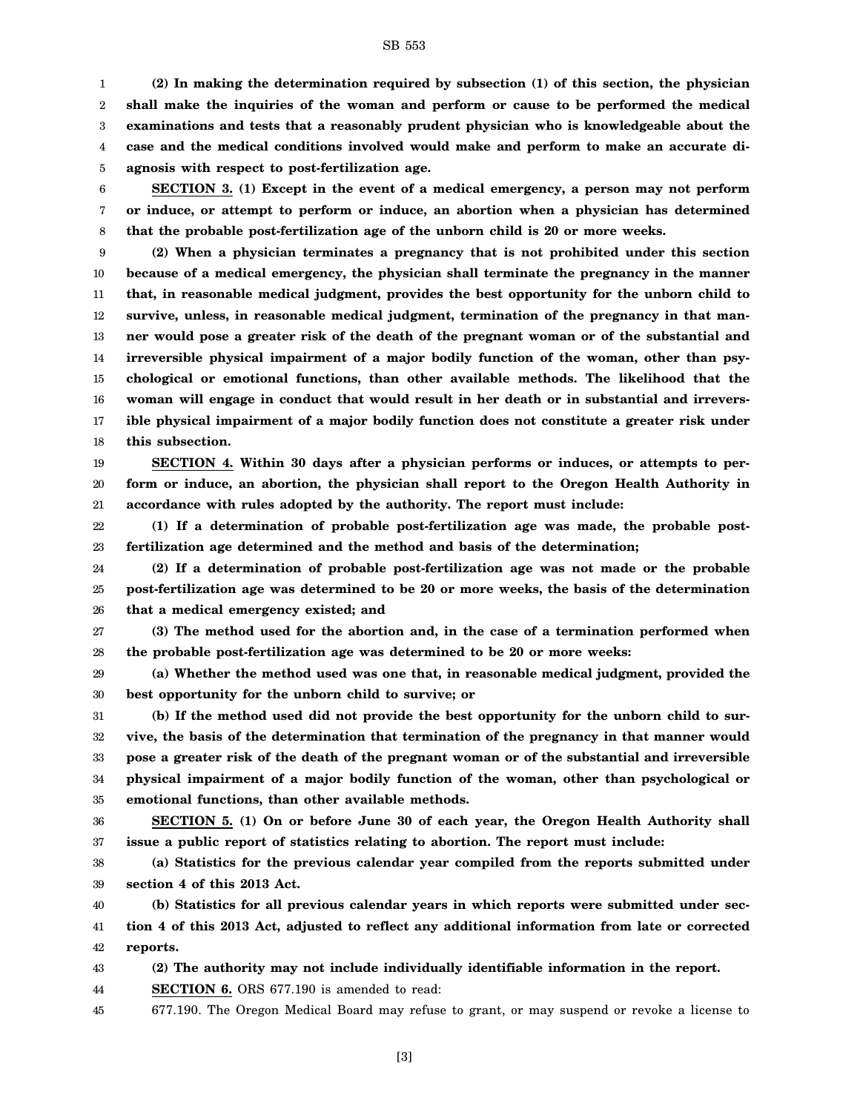### SB 553

1 2 3 4 5 **(2) In making the determination required by subsection (1) of this section, the physician shall make the inquiries of the woman and perform or cause to be performed the medical examinations and tests that a reasonably prudent physician who is knowledgeable about the case and the medical conditions involved would make and perform to make an accurate diagnosis with respect to post-fertilization age.**

6 7 8 **SECTION 3. (1) Except in the event of a medical emergency, a person may not perform or induce, or attempt to perform or induce, an abortion when a physician has determined that the probable post-fertilization age of the unborn child is 20 or more weeks.**

9 10 11 12 13 14 15 16 17 18 **(2) When a physician terminates a pregnancy that is not prohibited under this section because of a medical emergency, the physician shall terminate the pregnancy in the manner that, in reasonable medical judgment, provides the best opportunity for the unborn child to survive, unless, in reasonable medical judgment, termination of the pregnancy in that manner would pose a greater risk of the death of the pregnant woman or of the substantial and irreversible physical impairment of a major bodily function of the woman, other than psychological or emotional functions, than other available methods. The likelihood that the woman will engage in conduct that would result in her death or in substantial and irreversible physical impairment of a major bodily function does not constitute a greater risk under this subsection.**

19 20 21 **SECTION 4. Within 30 days after a physician performs or induces, or attempts to perform or induce, an abortion, the physician shall report to the Oregon Health Authority in accordance with rules adopted by the authority. The report must include:**

22 23 **(1) If a determination of probable post-fertilization age was made, the probable postfertilization age determined and the method and basis of the determination;**

24 25 26 **(2) If a determination of probable post-fertilization age was not made or the probable post-fertilization age was determined to be 20 or more weeks, the basis of the determination that a medical emergency existed; and**

27 28 **(3) The method used for the abortion and, in the case of a termination performed when the probable post-fertilization age was determined to be 20 or more weeks:**

29 30 **(a) Whether the method used was one that, in reasonable medical judgment, provided the best opportunity for the unborn child to survive; or**

31 32 33 34 35 **(b) If the method used did not provide the best opportunity for the unborn child to survive, the basis of the determination that termination of the pregnancy in that manner would pose a greater risk of the death of the pregnant woman or of the substantial and irreversible physical impairment of a major bodily function of the woman, other than psychological or emotional functions, than other available methods.**

36 37 **SECTION 5. (1) On or before June 30 of each year, the Oregon Health Authority shall issue a public report of statistics relating to abortion. The report must include:**

38 39 **(a) Statistics for the previous calendar year compiled from the reports submitted under section 4 of this 2013 Act.**

40 41 42 **(b) Statistics for all previous calendar years in which reports were submitted under section 4 of this 2013 Act, adjusted to reflect any additional information from late or corrected reports.**

43 **(2) The authority may not include individually identifiable information in the report.**

44 **SECTION 6.** ORS 677.190 is amended to read:

45 677.190. The Oregon Medical Board may refuse to grant, or may suspend or revoke a license to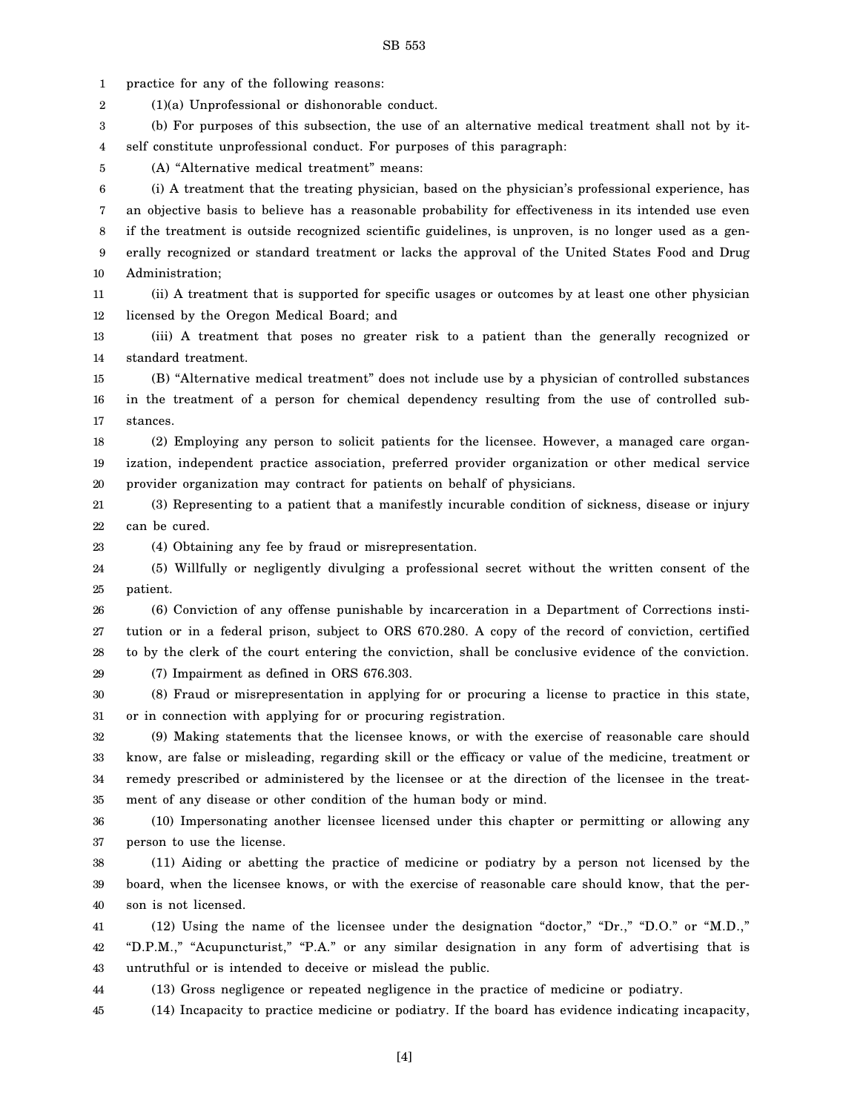SB 553

1 2 3 4 5 6 7 8 9 10 11 12 13 14 15 16 17 18 19 20 21 22 23 24 25 26 27 28 29 30 31 32 33 34 35 36 37 practice for any of the following reasons: (1)(a) Unprofessional or dishonorable conduct. (b) For purposes of this subsection, the use of an alternative medical treatment shall not by itself constitute unprofessional conduct. For purposes of this paragraph: (A) "Alternative medical treatment" means: (i) A treatment that the treating physician, based on the physician's professional experience, has an objective basis to believe has a reasonable probability for effectiveness in its intended use even if the treatment is outside recognized scientific guidelines, is unproven, is no longer used as a generally recognized or standard treatment or lacks the approval of the United States Food and Drug Administration; (ii) A treatment that is supported for specific usages or outcomes by at least one other physician licensed by the Oregon Medical Board; and (iii) A treatment that poses no greater risk to a patient than the generally recognized or standard treatment. (B) "Alternative medical treatment" does not include use by a physician of controlled substances in the treatment of a person for chemical dependency resulting from the use of controlled substances. (2) Employing any person to solicit patients for the licensee. However, a managed care organization, independent practice association, preferred provider organization or other medical service provider organization may contract for patients on behalf of physicians. (3) Representing to a patient that a manifestly incurable condition of sickness, disease or injury can be cured. (4) Obtaining any fee by fraud or misrepresentation. (5) Willfully or negligently divulging a professional secret without the written consent of the patient. (6) Conviction of any offense punishable by incarceration in a Department of Corrections institution or in a federal prison, subject to ORS 670.280. A copy of the record of conviction, certified to by the clerk of the court entering the conviction, shall be conclusive evidence of the conviction. (7) Impairment as defined in ORS 676.303. (8) Fraud or misrepresentation in applying for or procuring a license to practice in this state, or in connection with applying for or procuring registration. (9) Making statements that the licensee knows, or with the exercise of reasonable care should know, are false or misleading, regarding skill or the efficacy or value of the medicine, treatment or remedy prescribed or administered by the licensee or at the direction of the licensee in the treatment of any disease or other condition of the human body or mind. (10) Impersonating another licensee licensed under this chapter or permitting or allowing any person to use the license.

38 39 40 (11) Aiding or abetting the practice of medicine or podiatry by a person not licensed by the board, when the licensee knows, or with the exercise of reasonable care should know, that the person is not licensed.

41 42 43 (12) Using the name of the licensee under the designation "doctor," "Dr.," "D.O." or "M.D.," "D.P.M.," "Acupuncturist," "P.A." or any similar designation in any form of advertising that is untruthful or is intended to deceive or mislead the public.

44 (13) Gross negligence or repeated negligence in the practice of medicine or podiatry.

45 (14) Incapacity to practice medicine or podiatry. If the board has evidence indicating incapacity,